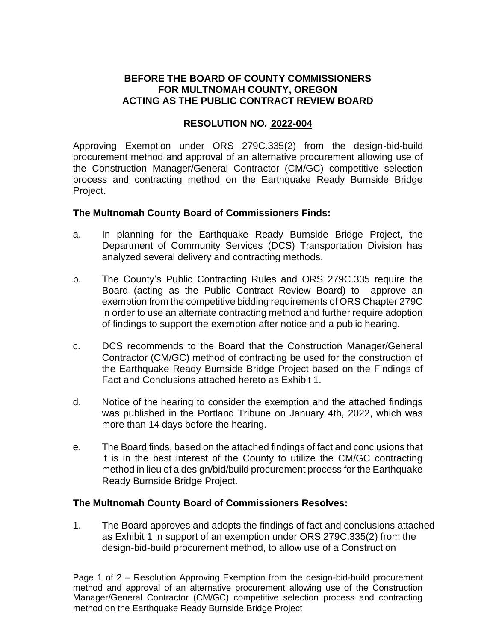## **BEFORE THE BOARD OF COUNTY COMMISSIONERS FOR MULTNOMAH COUNTY, OREGON ACTING AS THE PUBLIC CONTRACT REVIEW BOARD**

## **RESOLUTION NO. 2022-004**

Approving Exemption under ORS 279C.335(2) from the design-bid-build procurement method and approval of an alternative procurement allowing use of the Construction Manager/General Contractor (CM/GC) competitive selection process and contracting method on the Earthquake Ready Burnside Bridge Project.

## **The Multnomah County Board of Commissioners Finds:**

- a. In planning for the Earthquake Ready Burnside Bridge Project, the Department of Community Services (DCS) Transportation Division has analyzed several delivery and contracting methods.
- b. The County's Public Contracting Rules and ORS 279C.335 require the Board (acting as the Public Contract Review Board) to approve an exemption from the competitive bidding requirements of ORS Chapter 279C in order to use an alternate contracting method and further require adoption of findings to support the exemption after notice and a public hearing.
- c. DCS recommends to the Board that the Construction Manager/General Contractor (CM/GC) method of contracting be used for the construction of the Earthquake Ready Burnside Bridge Project based on the Findings of Fact and Conclusions attached hereto as Exhibit 1.
- d. Notice of the hearing to consider the exemption and the attached findings was published in the Portland Tribune on January 4th, 2022, which was more than 14 days before the hearing.
- e. The Board finds, based on the attached findings of fact and conclusions that it is in the best interest of the County to utilize the CM/GC contracting method in lieu of a design/bid/build procurement process for the Earthquake Ready Burnside Bridge Project.

## **The Multnomah County Board of Commissioners Resolves:**

1. The Board approves and adopts the findings of fact and conclusions attached as Exhibit 1 in support of an exemption under ORS 279C.335(2) from the design-bid-build procurement method, to allow use of a Construction

Page 1 of 2 – Resolution Approving Exemption from the design-bid-build procurement method and approval of an alternative procurement allowing use of the Construction Manager/General Contractor (CM/GC) competitive selection process and contracting method on the Earthquake Ready Burnside Bridge Project